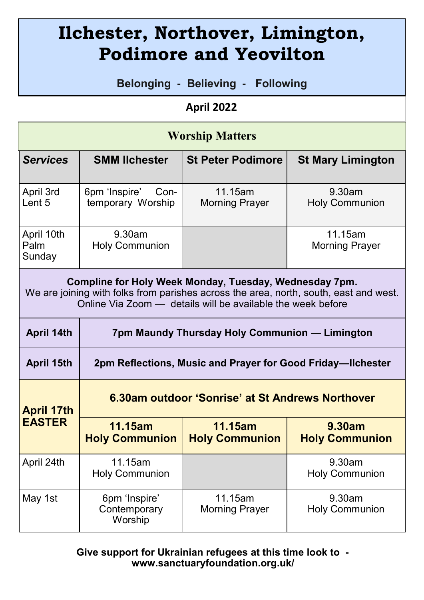| Ilchester, Northover, Limington,<br><b>Podimore and Yeovilton</b>                                                                                                                                              |                                                             |                                  |                                 |
|----------------------------------------------------------------------------------------------------------------------------------------------------------------------------------------------------------------|-------------------------------------------------------------|----------------------------------|---------------------------------|
| Belonging - Believing -<br><b>Following</b>                                                                                                                                                                    |                                                             |                                  |                                 |
| April 2022                                                                                                                                                                                                     |                                                             |                                  |                                 |
| <b>Worship Matters</b>                                                                                                                                                                                         |                                                             |                                  |                                 |
| <b>Services</b>                                                                                                                                                                                                | <b>SMM lichester</b>                                        | <b>St Peter Podimore</b>         | <b>St Mary Limington</b>        |
| April 3rd<br>Lent 5                                                                                                                                                                                            | 6pm 'Inspire'<br>Con-<br>temporary Worship                  | 11.15am<br><b>Morning Prayer</b> | 9.30am<br><b>Holy Communion</b> |
| April 10th<br>Palm<br>Sunday                                                                                                                                                                                   | 9.30am<br><b>Holy Communion</b>                             |                                  | 11.15am<br>Morning Prayer       |
| Compline for Holy Week Monday, Tuesday, Wednesday 7pm.<br>We are joining with folks from parishes across the area, north, south, east and west.<br>Online Via Zoom - details will be available the week before |                                                             |                                  |                                 |
| April 14th                                                                                                                                                                                                     | 7pm Maundy Thursday Holy Communion - Limington              |                                  |                                 |
| April 15th                                                                                                                                                                                                     | 2pm Reflections, Music and Prayer for Good Friday-Ilchester |                                  |                                 |
| <b>April 17th</b><br><b>EASTER</b>                                                                                                                                                                             | 6.30am outdoor 'Sonrise' at St Andrews Northover            |                                  |                                 |
|                                                                                                                                                                                                                | <b>11.15am</b><br><b>Holy Communion</b>                     | 11.15am<br><b>Holy Communion</b> | 9.30am<br><b>Holy Communion</b> |
| April 24th                                                                                                                                                                                                     | 11.15am<br><b>Holy Communion</b>                            |                                  | 9.30am<br><b>Holy Communion</b> |
| May 1st                                                                                                                                                                                                        | 6pm 'Inspire'<br>Contemporary<br>Worship                    | 11.15am<br><b>Morning Prayer</b> | 9.30am<br><b>Holy Communion</b> |

**Give support for Ukrainian refugees at this time look to www.sanctuaryfoundation.org.uk/**